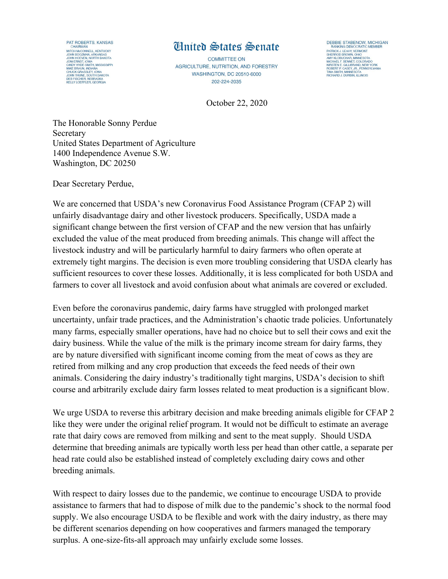

## Ginited States Senate

COMMITTEE ON AGRICULTURE, NUTRITION, AND FORESTRY WASHINGTON, DC 20510-6000 202-224-2035

PAIHICK J. LEAHY, VEHMONI<br>SHERROD BROWN, OHIO<br>MCHAEL F. BENNET, COLORADO<br>MIRSTEN E. GILLIBRAND, NEW YORK<br>KIRSTEN E. GILLIBRAND, NEW YORK<br>TINA SMITH, MINNESOTA<br>RICHARD J. DURBIN, ILLINOIS<br>RICHARD J. DURBIN, ILLINOIS

DEBBIE STABENOW, MICHIGAN

RANKING DEMOCRATIC MEMBE<br>PATRICK J. LEAHY, VERMONT

October 22, 2020

The Honorable Sonny Perdue Secretary United States Department of Agriculture 1400 Independence Avenue S.W. Washington, DC 20250

Dear Secretary Perdue,

We are concerned that USDA's new Coronavirus Food Assistance Program (CFAP 2) will unfairly disadvantage dairy and other livestock producers. Specifically, USDA made a significant change between the first version of CFAP and the new version that has unfairly excluded the value of the meat produced from breeding animals. This change will affect the livestock industry and will be particularly harmful to dairy farmers who often operate at extremely tight margins. The decision is even more troubling considering that USDA clearly has sufficient resources to cover these losses. Additionally, it is less complicated for both USDA and farmers to cover all livestock and avoid confusion about what animals are covered or excluded.

Even before the coronavirus pandemic, dairy farms have struggled with prolonged market uncertainty, unfair trade practices, and the Administration's chaotic trade policies. Unfortunately many farms, especially smaller operations, have had no choice but to sell their cows and exit the dairy business. While the value of the milk is the primary income stream for dairy farms, they are by nature diversified with significant income coming from the meat of cows as they are retired from milking and any crop production that exceeds the feed needs of their own animals. Considering the dairy industry's traditionally tight margins, USDA's decision to shift course and arbitrarily exclude dairy farm losses related to meat production is a significant blow.

We urge USDA to reverse this arbitrary decision and make breeding animals eligible for CFAP 2 like they were under the original relief program. It would not be difficult to estimate an average rate that dairy cows are removed from milking and sent to the meat supply. Should USDA determine that breeding animals are typically worth less per head than other cattle, a separate per head rate could also be established instead of completely excluding dairy cows and other breeding animals.

With respect to dairy losses due to the pandemic, we continue to encourage USDA to provide assistance to farmers that had to dispose of milk due to the pandemic's shock to the normal food supply. We also encourage USDA to be flexible and work with the dairy industry, as there may be different scenarios depending on how cooperatives and farmers managed the temporary surplus. A one-size-fits-all approach may unfairly exclude some losses.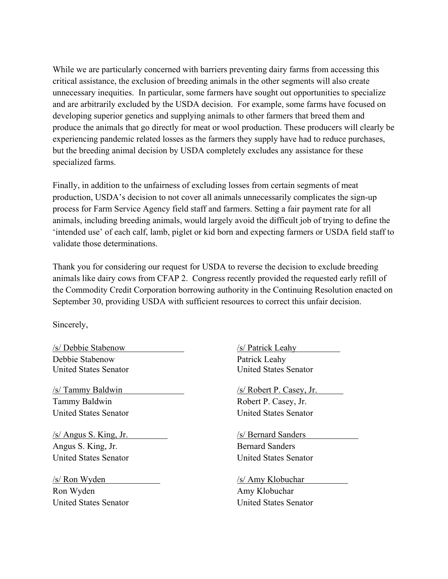While we are particularly concerned with barriers preventing dairy farms from accessing this critical assistance, the exclusion of breeding animals in the other segments will also create unnecessary inequities. In particular, some farmers have sought out opportunities to specialize and are arbitrarily excluded by the USDA decision. For example, some farms have focused on developing superior genetics and supplying animals to other farmers that breed them and produce the animals that go directly for meat or wool production. These producers will clearly be experiencing pandemic related losses as the farmers they supply have had to reduce purchases, but the breeding animal decision by USDA completely excludes any assistance for these specialized farms.

Finally, in addition to the unfairness of excluding losses from certain segments of meat production, USDA's decision to not cover all animals unnecessarily complicates the sign-up process for Farm Service Agency field staff and farmers. Setting a fair payment rate for all animals, including breeding animals, would largely avoid the difficult job of trying to define the 'intended use' of each calf, lamb, piglet or kid born and expecting farmers or USDA field staff to validate those determinations.

Thank you for considering our request for USDA to reverse the decision to exclude breeding animals like dairy cows from CFAP 2. Congress recently provided the requested early refill of the Commodity Credit Corporation borrowing authority in the Continuing Resolution enacted on September 30, providing USDA with sufficient resources to correct this unfair decision.

Sincerely,

/s/ Debbie Stabenow /s/ Patrick Leahy Debbie Stabenow Patrick Leahy

Tammy Baldwin Robert P. Casey, Jr. United States Senator United States Senator

/s/ Angus S. King, Jr. /s/ Bernard Sanders Angus S. King, Jr. Bernard Sanders United States Senator United States Senator

/s/ Ron Wyden /s/ Amy Klobuchar Ron Wyden Amy Klobuchar United States Senator United States Senator

United States Senator United States Senator

/s/ Tammy Baldwin /s/ Robert P. Casey, Jr.